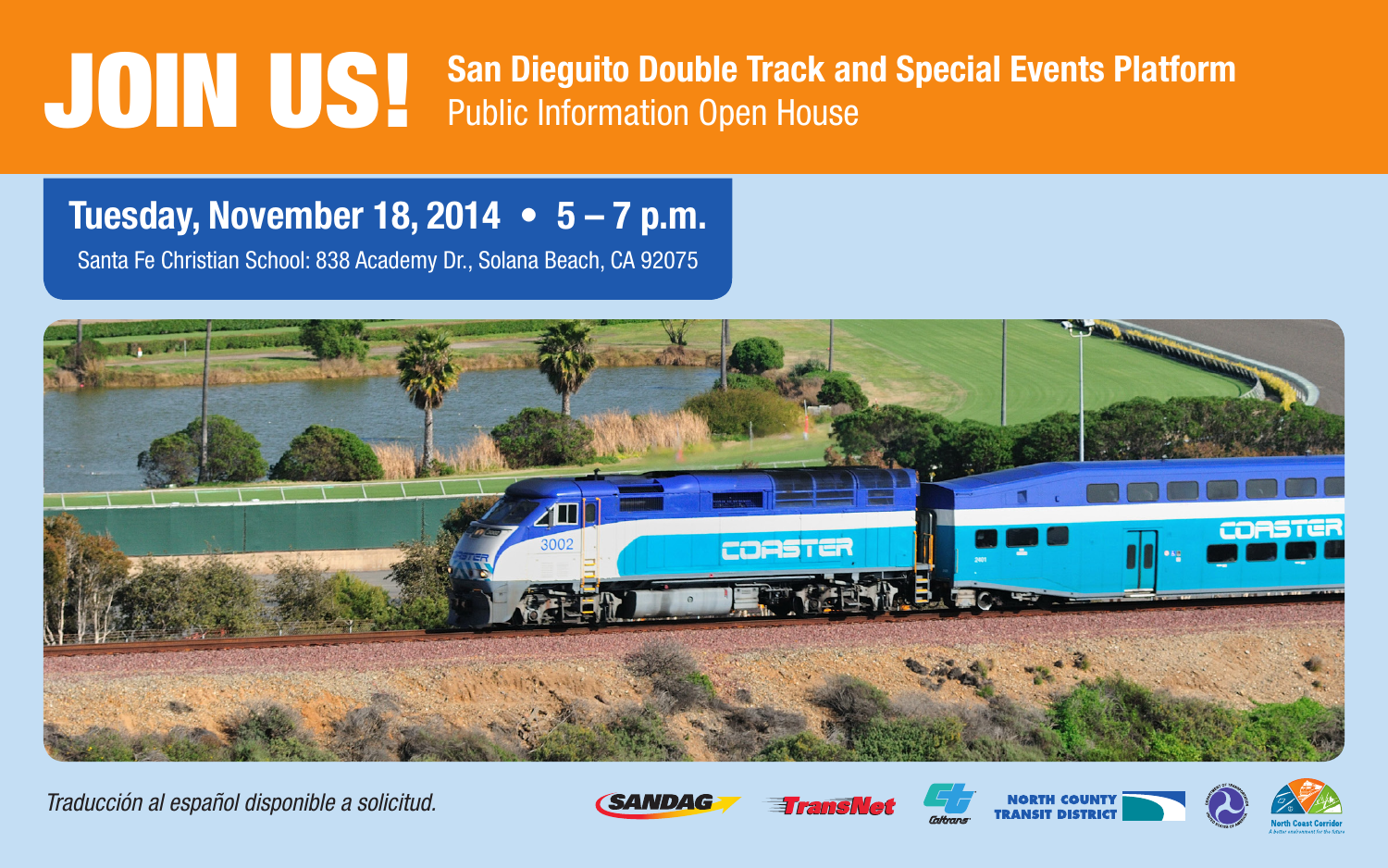## **JOIN US! San Dieguito Double Track and Special Events Platform**<br>
Public Information Open House

## **Tuesday, November 18, 2014 • 5 – 7 p.m.**

Santa Fe Christian School: 838 Academy Dr., Solana Beach, CA 92075



*Traducción al español disponible a solicitud.*